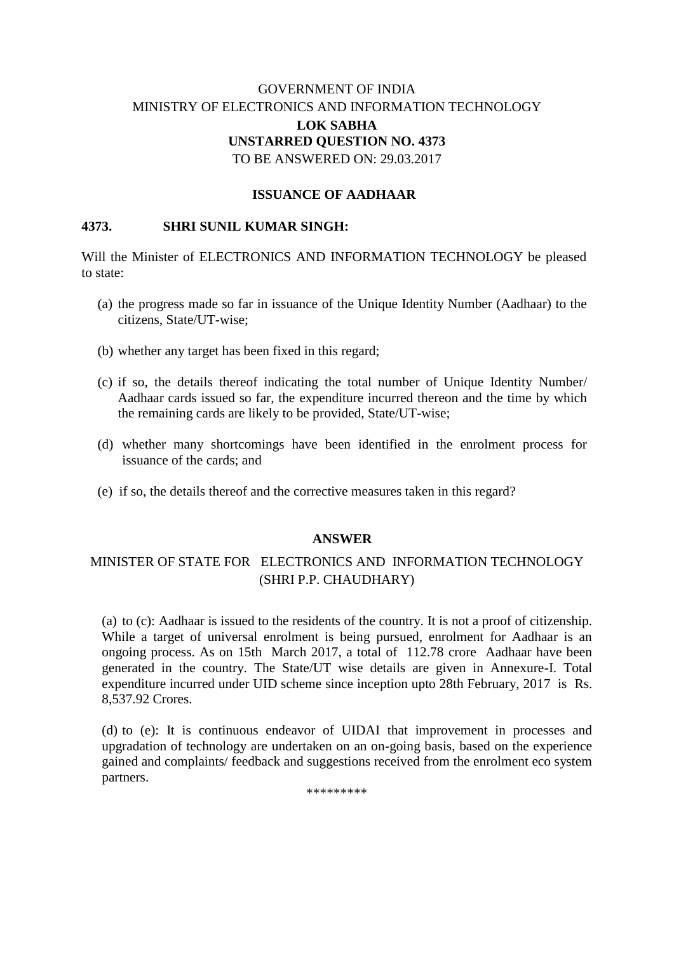# GOVERNMENT OF INDIA MINISTRY OF ELECTRONICS AND INFORMATION TECHNOLOGY **LOK SABHA UNSTARRED QUESTION NO. 4373** TO BE ANSWERED ON: 29.03.2017

### **ISSUANCE OF AADHAAR**

### **4373. SHRI SUNIL KUMAR SINGH:**

Will the Minister of ELECTRONICS AND INFORMATION TECHNOLOGY be pleased to state:

- (a) the progress made so far in issuance of the Unique Identity Number (Aadhaar) to the citizens, State/UT-wise;
- (b) whether any target has been fixed in this regard;
- (c) if so, the details thereof indicating the total number of Unique Identity Number/ Aadhaar cards issued so far, the expenditure incurred thereon and the time by which the remaining cards are likely to be provided, State/UT-wise;
- (d) whether many shortcomings have been identified in the enrolment process for issuance of the cards; and
- (e) if so, the details thereof and the corrective measures taken in this regard?

#### **ANSWER**

# MINISTER OF STATE FOR ELECTRONICS AND INFORMATION TECHNOLOGY (SHRI P.P. CHAUDHARY)

(a) to (c): Aadhaar is issued to the residents of the country. It is not a proof of citizenship. While a target of universal enrolment is being pursued, enrolment for Aadhaar is an ongoing process. As on 15th March 2017, a total of 112.78 crore Aadhaar have been generated in the country. The State/UT wise details are given in Annexure-I. Total expenditure incurred under UID scheme since inception upto 28th February, 2017 is Rs. 8,537.92 Crores.

(d) to (e): It is continuous endeavor of UIDAI that improvement in processes and upgradation of technology are undertaken on an on-going basis, based on the experience gained and complaints/ feedback and suggestions received from the enrolment eco system partners.

\*\*\*\*\*\*\*\*\*